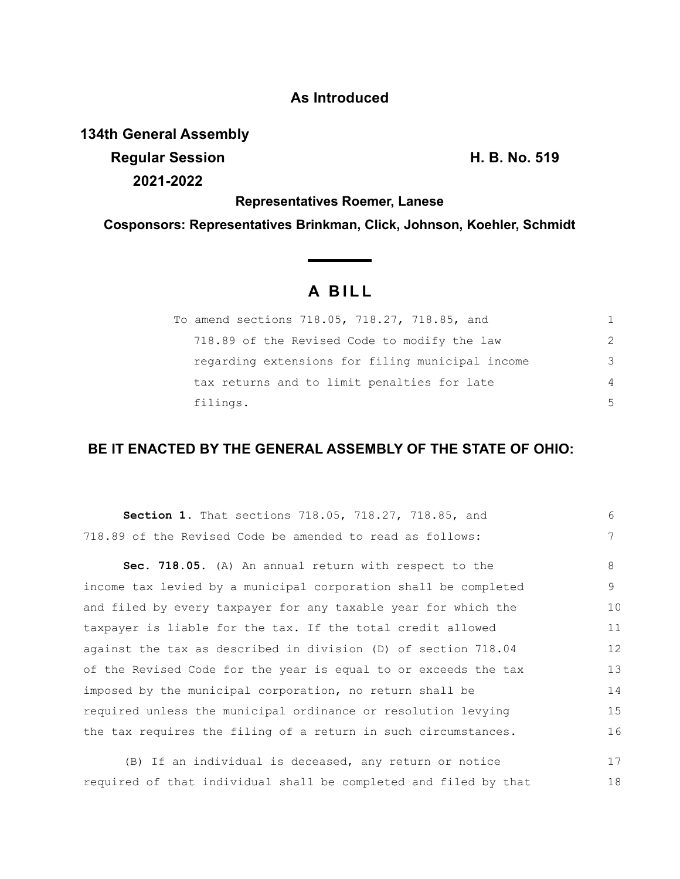### **As Introduced**

**134th General Assembly**

**Regular Session H. B. No. 519 2021-2022**

18

**Representatives Roemer, Lanese**

**Cosponsors: Representatives Brinkman, Click, Johnson, Koehler, Schmidt**

# **A B I L L**

| To amend sections 718.05, 718.27, 718.85, and    |               |
|--------------------------------------------------|---------------|
| 718.89 of the Revised Code to modify the law     | $\mathcal{P}$ |
| regarding extensions for filing municipal income | 3             |
| tax returns and to limit penalties for late      | 4             |
| filings.                                         | .5            |

## **BE IT ENACTED BY THE GENERAL ASSEMBLY OF THE STATE OF OHIO:**

| Section 1. That sections 718.05, 718.27, 718.85, and             | 6  |
|------------------------------------------------------------------|----|
| 718.89 of the Revised Code be amended to read as follows:        | 7  |
| Sec. 718.05. (A) An annual return with respect to the            | 8  |
| income tax levied by a municipal corporation shall be completed  | 9  |
| and filed by every taxpayer for any taxable year for which the   | 10 |
| taxpayer is liable for the tax. If the total credit allowed      | 11 |
| against the tax as described in division (D) of section $718.04$ | 12 |
| of the Revised Code for the year is equal to or exceeds the tax  | 13 |
| imposed by the municipal corporation, no return shall be         | 14 |
| required unless the municipal ordinance or resolution levying    | 15 |
| the tax requires the filing of a return in such circumstances.   | 16 |
| (B) If an individual is deceased, any return or notice           | 17 |

required of that individual shall be completed and filed by that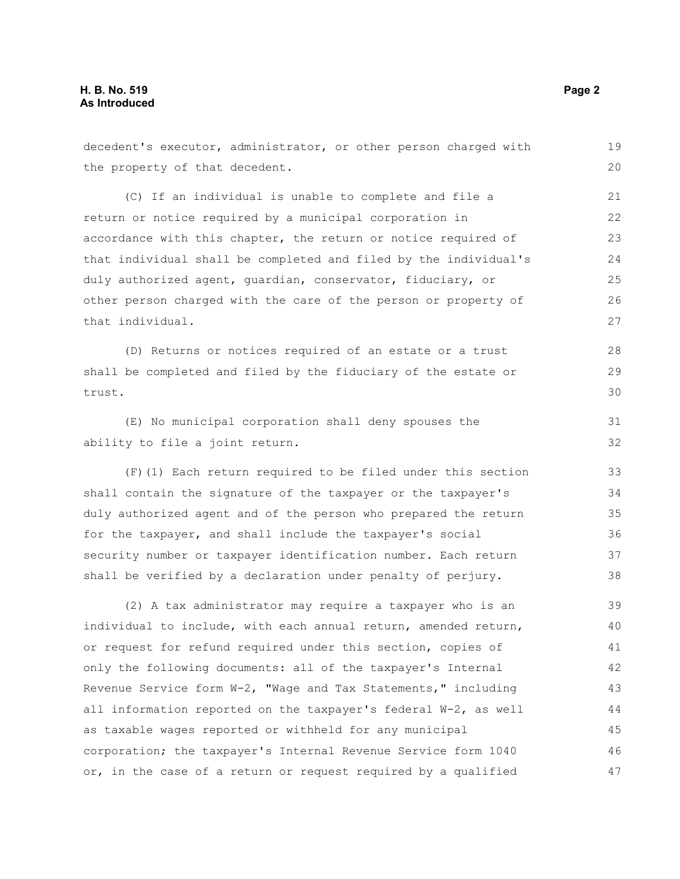decedent's executor, administrator, or other person charged with the property of that decedent. (C) If an individual is unable to complete and file a return or notice required by a municipal corporation in accordance with this chapter, the return or notice required of that individual shall be completed and filed by the individual's duly authorized agent, guardian, conservator, fiduciary, or other person charged with the care of the person or property of that individual. (D) Returns or notices required of an estate or a trust shall be completed and filed by the fiduciary of the estate or trust. (E) No municipal corporation shall deny spouses the ability to file a joint return. (F)(1) Each return required to be filed under this section shall contain the signature of the taxpayer or the taxpayer's duly authorized agent and of the person who prepared the return for the taxpayer, and shall include the taxpayer's social security number or taxpayer identification number. Each return shall be verified by a declaration under penalty of perjury. (2) A tax administrator may require a taxpayer who is an individual to include, with each annual return, amended return, or request for refund required under this section, copies of only the following documents: all of the taxpayer's Internal Revenue Service form W-2, "Wage and Tax Statements," including all information reported on the taxpayer's federal W-2, as well as taxable wages reported or withheld for any municipal corporation; the taxpayer's Internal Revenue Service form 1040 or, in the case of a return or request required by a qualified 19 20 21 22 23 24 25 26 27 28 29 30 31 32 33 34 35 36 37 38 39 40 41 42 43 44 45 46 47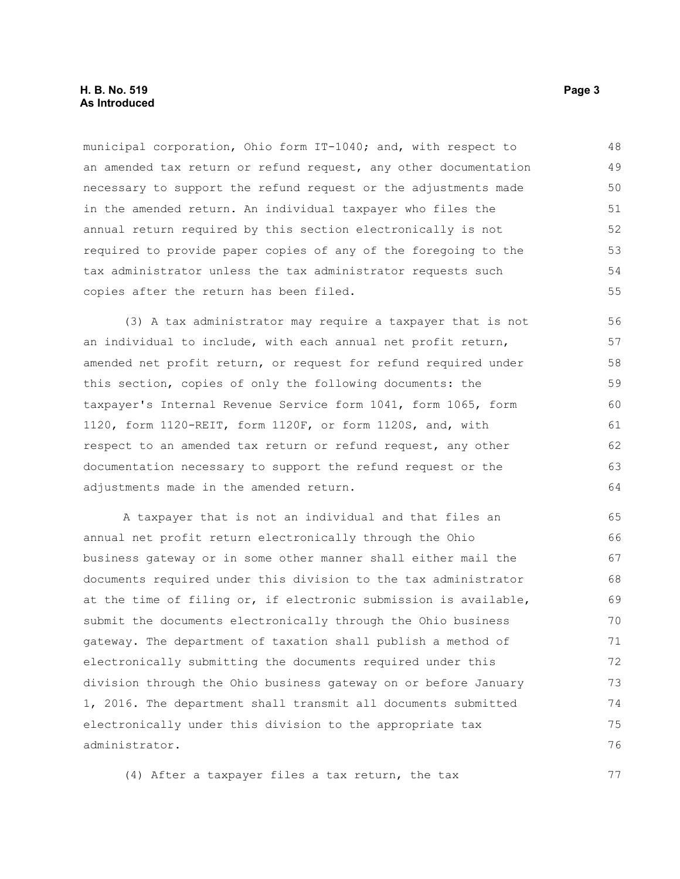municipal corporation, Ohio form IT-1040; and, with respect to an amended tax return or refund request, any other documentation necessary to support the refund request or the adjustments made in the amended return. An individual taxpayer who files the annual return required by this section electronically is not required to provide paper copies of any of the foregoing to the tax administrator unless the tax administrator requests such copies after the return has been filed. 48 49 50 51 52 53 54 55

(3) A tax administrator may require a taxpayer that is not an individual to include, with each annual net profit return, amended net profit return, or request for refund required under this section, copies of only the following documents: the taxpayer's Internal Revenue Service form 1041, form 1065, form 1120, form 1120-REIT, form 1120F, or form 1120S, and, with respect to an amended tax return or refund request, any other documentation necessary to support the refund request or the adjustments made in the amended return.

A taxpayer that is not an individual and that files an annual net profit return electronically through the Ohio business gateway or in some other manner shall either mail the documents required under this division to the tax administrator at the time of filing or, if electronic submission is available, submit the documents electronically through the Ohio business gateway. The department of taxation shall publish a method of electronically submitting the documents required under this division through the Ohio business gateway on or before January 1, 2016. The department shall transmit all documents submitted electronically under this division to the appropriate tax administrator. 65 66 67 68 69 70 71 72 73 74 75 76

(4) After a taxpayer files a tax return, the tax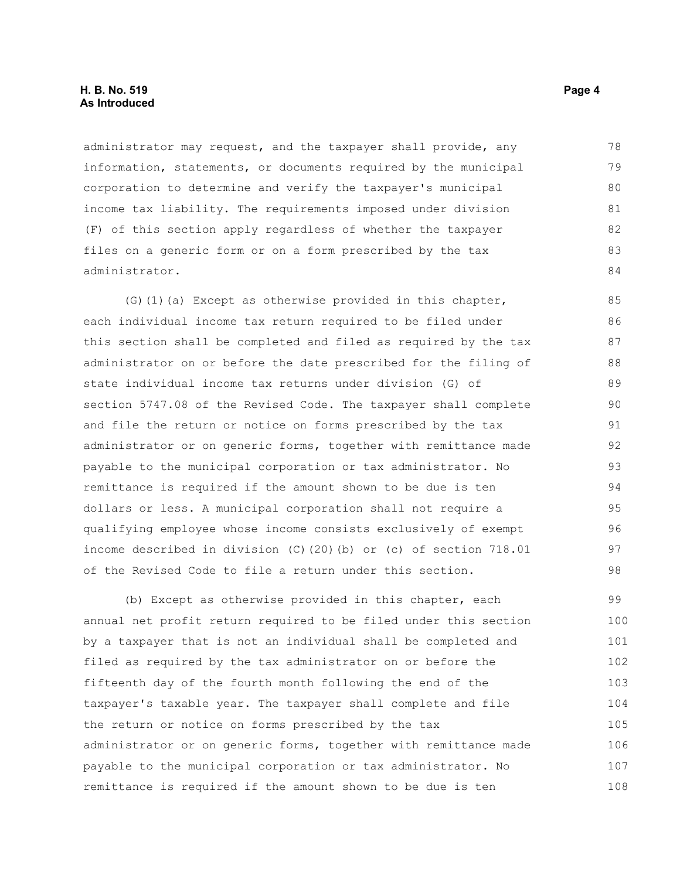administrator may request, and the taxpayer shall provide, any information, statements, or documents required by the municipal corporation to determine and verify the taxpayer's municipal income tax liability. The requirements imposed under division (F) of this section apply regardless of whether the taxpayer files on a generic form or on a form prescribed by the tax administrator. 78 79 80 81 82 83 84

(G)(1)(a) Except as otherwise provided in this chapter, each individual income tax return required to be filed under this section shall be completed and filed as required by the tax administrator on or before the date prescribed for the filing of state individual income tax returns under division (G) of section 5747.08 of the Revised Code. The taxpayer shall complete and file the return or notice on forms prescribed by the tax administrator or on generic forms, together with remittance made payable to the municipal corporation or tax administrator. No remittance is required if the amount shown to be due is ten dollars or less. A municipal corporation shall not require a qualifying employee whose income consists exclusively of exempt income described in division (C)(20)(b) or (c) of section 718.01 of the Revised Code to file a return under this section. 85 86 87 88 89 90 91 92 93 94 95 96 97 98

(b) Except as otherwise provided in this chapter, each annual net profit return required to be filed under this section by a taxpayer that is not an individual shall be completed and filed as required by the tax administrator on or before the fifteenth day of the fourth month following the end of the taxpayer's taxable year. The taxpayer shall complete and file the return or notice on forms prescribed by the tax administrator or on generic forms, together with remittance made payable to the municipal corporation or tax administrator. No remittance is required if the amount shown to be due is ten 99 100 101 102 103 104 105 106 107 108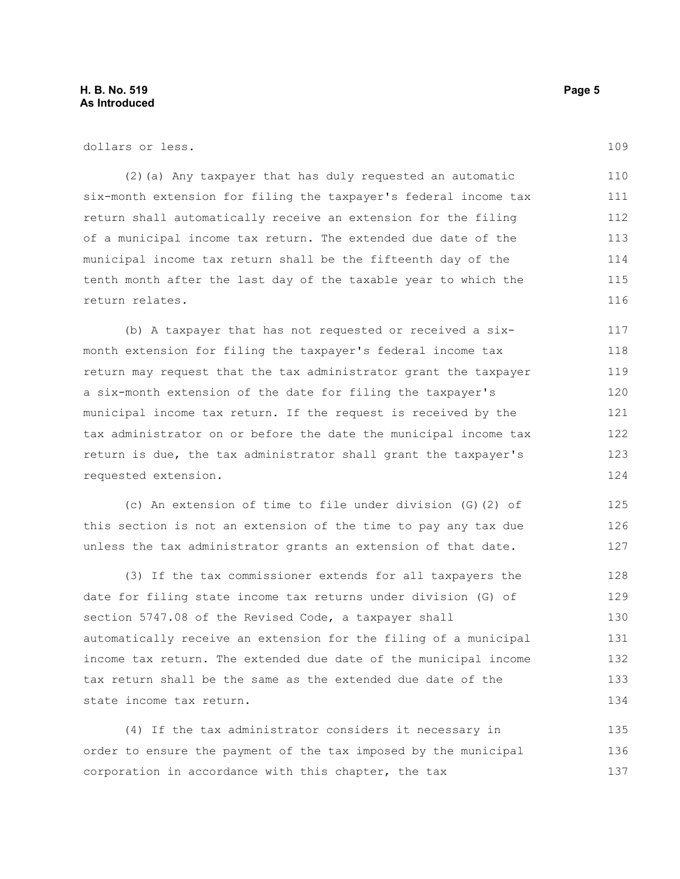dollars or less.

(2)(a) Any taxpayer that has duly requested an automatic six-month extension for filing the taxpayer's federal income tax return shall automatically receive an extension for the filing of a municipal income tax return. The extended due date of the municipal income tax return shall be the fifteenth day of the tenth month after the last day of the taxable year to which the return relates. 110 111 112 113 114 115 116

(b) A taxpayer that has not requested or received a sixmonth extension for filing the taxpayer's federal income tax return may request that the tax administrator grant the taxpayer a six-month extension of the date for filing the taxpayer's municipal income tax return. If the request is received by the tax administrator on or before the date the municipal income tax return is due, the tax administrator shall grant the taxpayer's requested extension.

(c) An extension of time to file under division (G)(2) of this section is not an extension of the time to pay any tax due unless the tax administrator grants an extension of that date.

(3) If the tax commissioner extends for all taxpayers the date for filing state income tax returns under division (G) of section 5747.08 of the Revised Code, a taxpayer shall automatically receive an extension for the filing of a municipal income tax return. The extended due date of the municipal income tax return shall be the same as the extended due date of the state income tax return. 128 129 130 131 132 133 134

(4) If the tax administrator considers it necessary in order to ensure the payment of the tax imposed by the municipal corporation in accordance with this chapter, the tax 135 136 137

109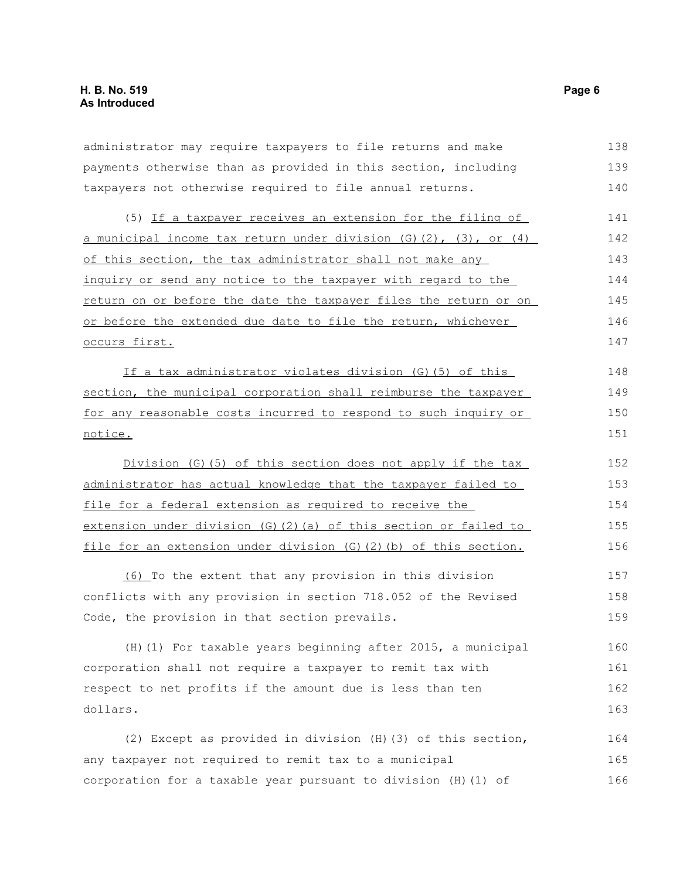administrator may require taxpayers to file returns and make payments otherwise than as provided in this section, including taxpayers not otherwise required to file annual returns. 138 139 140

(5) If a taxpayer receives an extension for the filing of a municipal income tax return under division (G)(2), (3), or (4) of this section, the tax administrator shall not make any inquiry or send any notice to the taxpayer with regard to the return on or before the date the taxpayer files the return or on or before the extended due date to file the return, whichever occurs first. 141 142 143 144 145 146 147

If a tax administrator violates division (G)(5) of this section, the municipal corporation shall reimburse the taxpayer for any reasonable costs incurred to respond to such inquiry or notice. 148 149 150 151

Division (G)(5) of this section does not apply if the tax administrator has actual knowledge that the taxpayer failed to file for a federal extension as required to receive the extension under division (G)(2)(a) of this section or failed to file for an extension under division (G)(2)(b) of this section. 152 153 154 155 156

(6) To the extent that any provision in this division conflicts with any provision in section 718.052 of the Revised Code, the provision in that section prevails. 157 158 159

(H)(1) For taxable years beginning after 2015, a municipal corporation shall not require a taxpayer to remit tax with respect to net profits if the amount due is less than ten dollars. 160 161 162 163

(2) Except as provided in division (H)(3) of this section, any taxpayer not required to remit tax to a municipal corporation for a taxable year pursuant to division (H)(1) of 164 165 166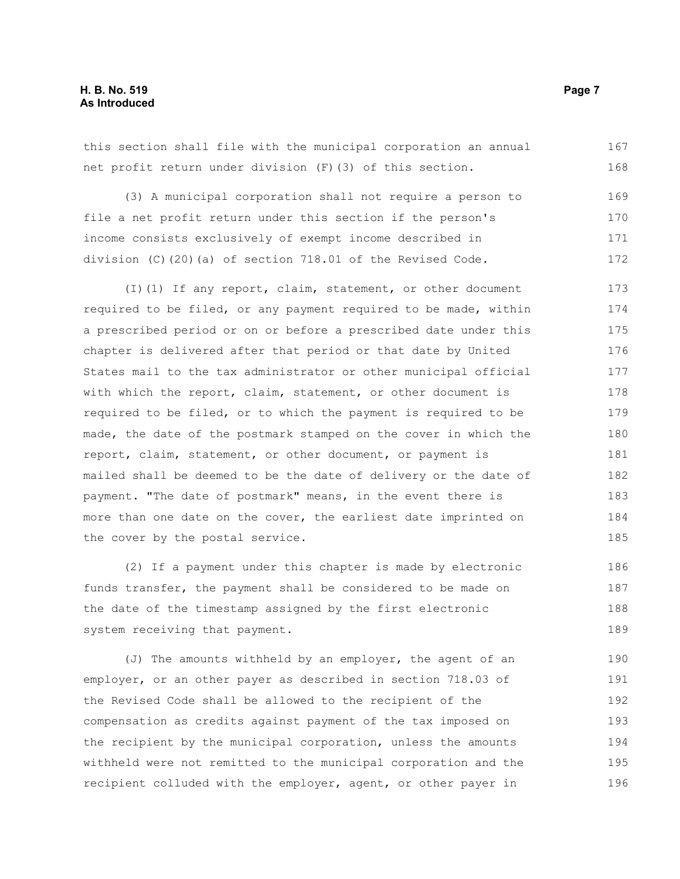this section shall file with the municipal corporation an annual net profit return under division (F)(3) of this section. 167 168

(3) A municipal corporation shall not require a person to file a net profit return under this section if the person's income consists exclusively of exempt income described in division (C)(20)(a) of section 718.01 of the Revised Code. 169 170 171 172

(I)(1) If any report, claim, statement, or other document required to be filed, or any payment required to be made, within a prescribed period or on or before a prescribed date under this chapter is delivered after that period or that date by United States mail to the tax administrator or other municipal official with which the report, claim, statement, or other document is required to be filed, or to which the payment is required to be made, the date of the postmark stamped on the cover in which the report, claim, statement, or other document, or payment is mailed shall be deemed to be the date of delivery or the date of payment. "The date of postmark" means, in the event there is more than one date on the cover, the earliest date imprinted on the cover by the postal service. 173 174 175 176 177 178 179 180 181 182 183 184 185

(2) If a payment under this chapter is made by electronic funds transfer, the payment shall be considered to be made on the date of the timestamp assigned by the first electronic system receiving that payment. 186 187 188 189

(J) The amounts withheld by an employer, the agent of an employer, or an other payer as described in section 718.03 of the Revised Code shall be allowed to the recipient of the compensation as credits against payment of the tax imposed on the recipient by the municipal corporation, unless the amounts withheld were not remitted to the municipal corporation and the recipient colluded with the employer, agent, or other payer in 190 191 192 193 194 195 196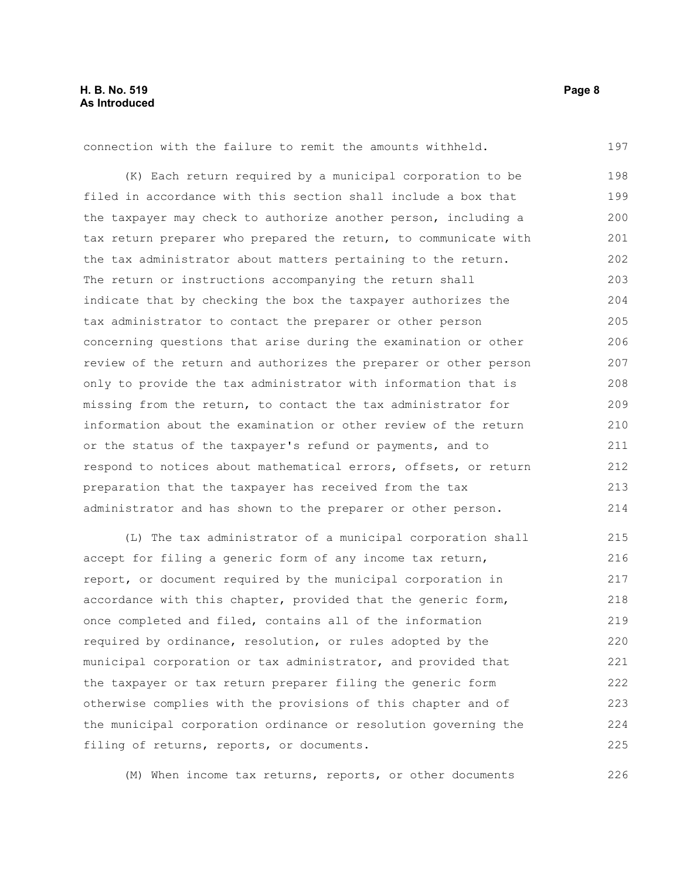197

connection with the failure to remit the amounts withheld.

(K) Each return required by a municipal corporation to be filed in accordance with this section shall include a box that the taxpayer may check to authorize another person, including a tax return preparer who prepared the return, to communicate with the tax administrator about matters pertaining to the return. The return or instructions accompanying the return shall indicate that by checking the box the taxpayer authorizes the tax administrator to contact the preparer or other person concerning questions that arise during the examination or other review of the return and authorizes the preparer or other person only to provide the tax administrator with information that is missing from the return, to contact the tax administrator for information about the examination or other review of the return or the status of the taxpayer's refund or payments, and to respond to notices about mathematical errors, offsets, or return preparation that the taxpayer has received from the tax administrator and has shown to the preparer or other person. 198 199 200 201 202 203 204 205 206 207 208 209 210 211 212 213 214

(L) The tax administrator of a municipal corporation shall accept for filing a generic form of any income tax return, report, or document required by the municipal corporation in accordance with this chapter, provided that the generic form, once completed and filed, contains all of the information required by ordinance, resolution, or rules adopted by the municipal corporation or tax administrator, and provided that the taxpayer or tax return preparer filing the generic form otherwise complies with the provisions of this chapter and of the municipal corporation ordinance or resolution governing the filing of returns, reports, or documents. 215 216 217 218 219 220 221 222 223 224 225

(M) When income tax returns, reports, or other documents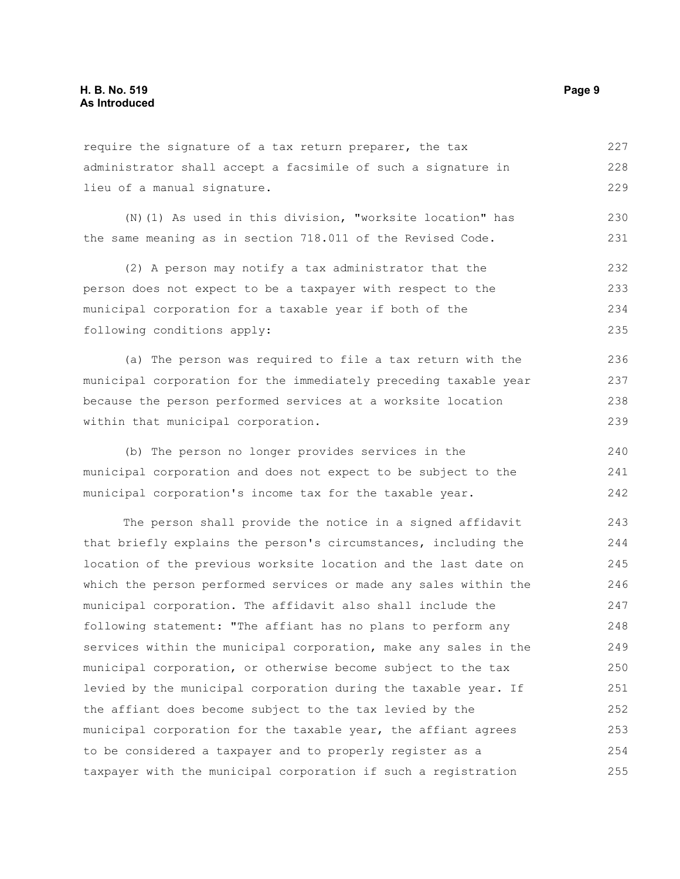require the signature of a tax return preparer, the tax administrator shall accept a facsimile of such a signature in lieu of a manual signature. 227 228 229

(N)(1) As used in this division, "worksite location" has the same meaning as in section 718.011 of the Revised Code. 230 231

(2) A person may notify a tax administrator that the person does not expect to be a taxpayer with respect to the municipal corporation for a taxable year if both of the following conditions apply: 232 233 234 235

(a) The person was required to file a tax return with the municipal corporation for the immediately preceding taxable year because the person performed services at a worksite location within that municipal corporation.

(b) The person no longer provides services in the municipal corporation and does not expect to be subject to the municipal corporation's income tax for the taxable year. 240 241 242

The person shall provide the notice in a signed affidavit that briefly explains the person's circumstances, including the location of the previous worksite location and the last date on which the person performed services or made any sales within the municipal corporation. The affidavit also shall include the following statement: "The affiant has no plans to perform any services within the municipal corporation, make any sales in the municipal corporation, or otherwise become subject to the tax levied by the municipal corporation during the taxable year. If the affiant does become subject to the tax levied by the municipal corporation for the taxable year, the affiant agrees to be considered a taxpayer and to properly register as a taxpayer with the municipal corporation if such a registration 243 244 245 246 247 248 249 250 251 252 253 254 255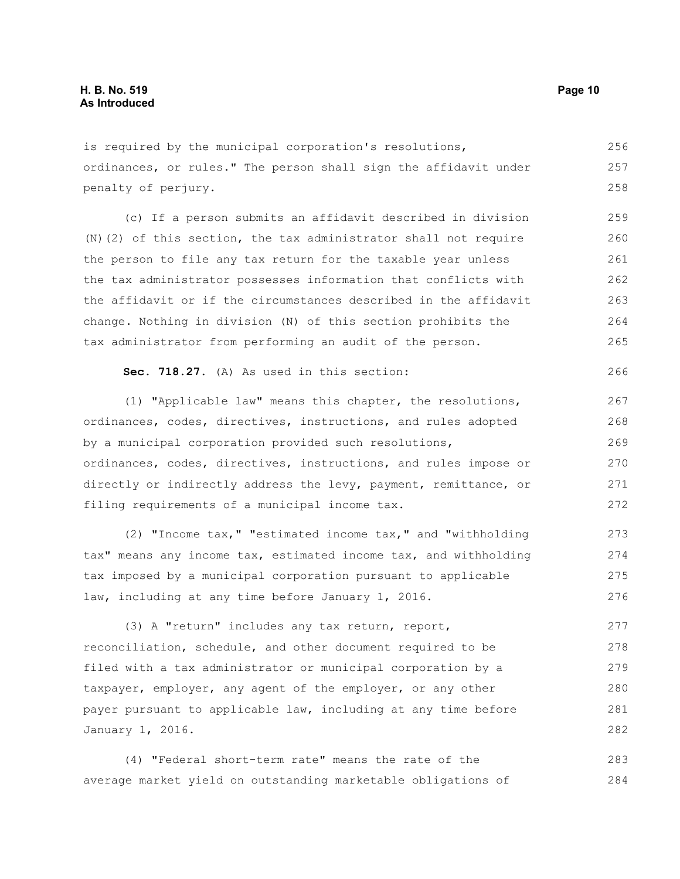is required by the municipal corporation's resolutions, ordinances, or rules." The person shall sign the affidavit under penalty of perjury. 256 257 258

(c) If a person submits an affidavit described in division (N)(2) of this section, the tax administrator shall not require the person to file any tax return for the taxable year unless the tax administrator possesses information that conflicts with the affidavit or if the circumstances described in the affidavit change. Nothing in division (N) of this section prohibits the tax administrator from performing an audit of the person. 259 260 261 262 263 264 265

#### **Sec. 718.27.** (A) As used in this section: 266

(1) "Applicable law" means this chapter, the resolutions, ordinances, codes, directives, instructions, and rules adopted by a municipal corporation provided such resolutions, ordinances, codes, directives, instructions, and rules impose or directly or indirectly address the levy, payment, remittance, or filing requirements of a municipal income tax.

(2) "Income tax," "estimated income tax," and "withholding tax" means any income tax, estimated income tax, and withholding tax imposed by a municipal corporation pursuant to applicable law, including at any time before January 1, 2016. 273 274 275 276

(3) A "return" includes any tax return, report, reconciliation, schedule, and other document required to be filed with a tax administrator or municipal corporation by a taxpayer, employer, any agent of the employer, or any other payer pursuant to applicable law, including at any time before January 1, 2016. 277 278 279 280 281 282

(4) "Federal short-term rate" means the rate of the average market yield on outstanding marketable obligations of 283 284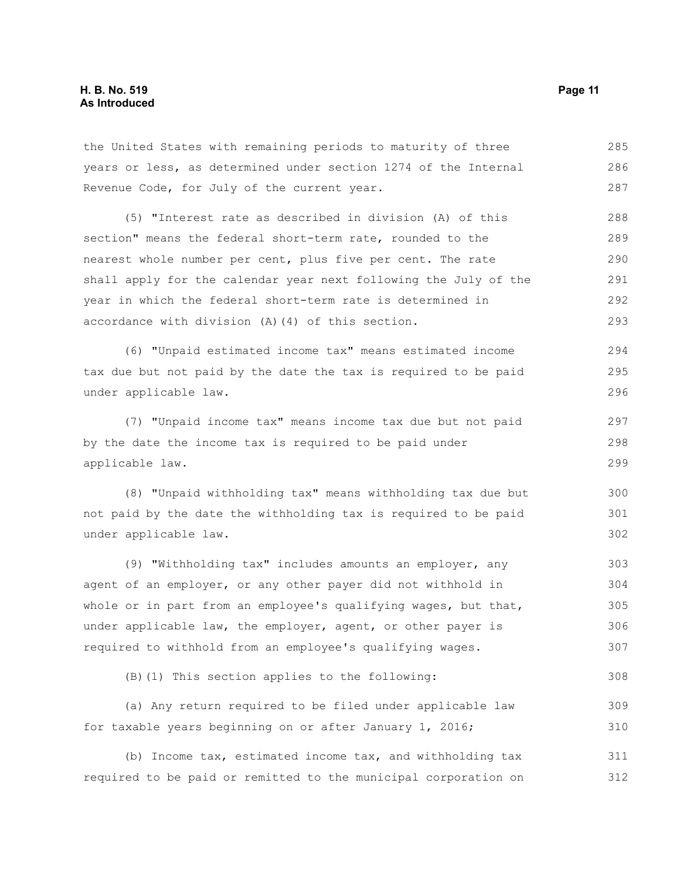the United States with remaining periods to maturity of three years or less, as determined under section 1274 of the Internal Revenue Code, for July of the current year. 285 286 287

(5) "Interest rate as described in division (A) of this section" means the federal short-term rate, rounded to the nearest whole number per cent, plus five per cent. The rate shall apply for the calendar year next following the July of the year in which the federal short-term rate is determined in accordance with division (A)(4) of this section. 288 289 290 291 292 293

(6) "Unpaid estimated income tax" means estimated income tax due but not paid by the date the tax is required to be paid under applicable law. 294 295 296

(7) "Unpaid income tax" means income tax due but not paid by the date the income tax is required to be paid under applicable law.

(8) "Unpaid withholding tax" means withholding tax due but not paid by the date the withholding tax is required to be paid under applicable law.

(9) "Withholding tax" includes amounts an employer, any agent of an employer, or any other payer did not withhold in whole or in part from an employee's qualifying wages, but that, under applicable law, the employer, agent, or other payer is required to withhold from an employee's qualifying wages. 303 304 305 306 307

(B)(1) This section applies to the following:

(a) Any return required to be filed under applicable law for taxable years beginning on or after January 1, 2016; 309 310

(b) Income tax, estimated income tax, and withholding tax required to be paid or remitted to the municipal corporation on 311 312

297 298 299

300 301 302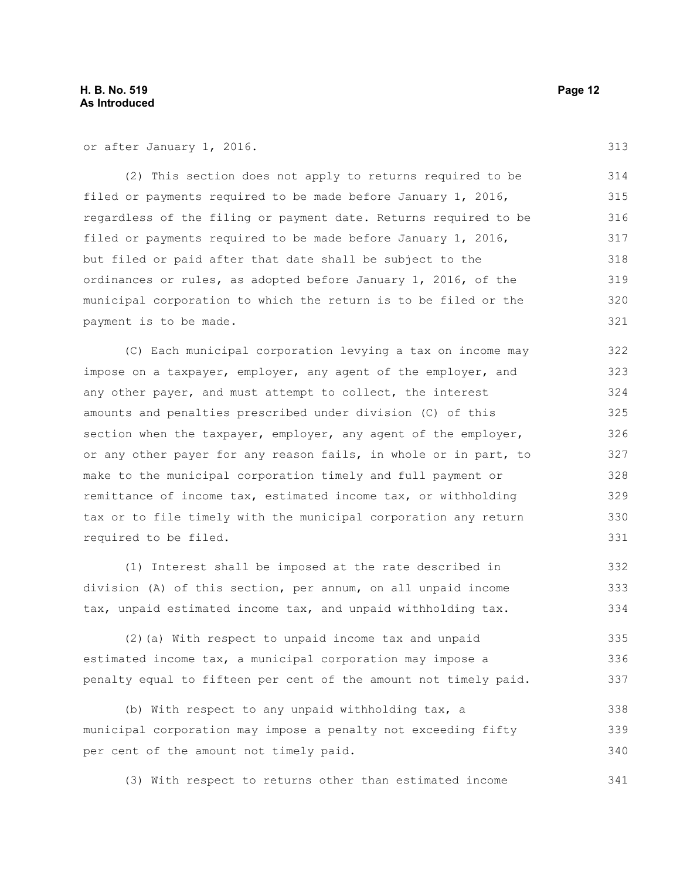or after January 1, 2016.

(2) This section does not apply to returns required to be filed or payments required to be made before January 1, 2016, regardless of the filing or payment date. Returns required to be filed or payments required to be made before January 1, 2016, but filed or paid after that date shall be subject to the ordinances or rules, as adopted before January 1, 2016, of the municipal corporation to which the return is to be filed or the payment is to be made. 314 315 316 317 318 319 320 321

(C) Each municipal corporation levying a tax on income may impose on a taxpayer, employer, any agent of the employer, and any other payer, and must attempt to collect, the interest amounts and penalties prescribed under division (C) of this section when the taxpayer, employer, any agent of the employer, or any other payer for any reason fails, in whole or in part, to make to the municipal corporation timely and full payment or remittance of income tax, estimated income tax, or withholding tax or to file timely with the municipal corporation any return required to be filed. 322 323 324 325 326 327 328 329 330 331

(1) Interest shall be imposed at the rate described in division (A) of this section, per annum, on all unpaid income tax, unpaid estimated income tax, and unpaid withholding tax. 332 333 334

(2)(a) With respect to unpaid income tax and unpaid estimated income tax, a municipal corporation may impose a penalty equal to fifteen per cent of the amount not timely paid. 335 336 337

(b) With respect to any unpaid withholding tax, a municipal corporation may impose a penalty not exceeding fifty per cent of the amount not timely paid. 338 339 340

(3) With respect to returns other than estimated income 341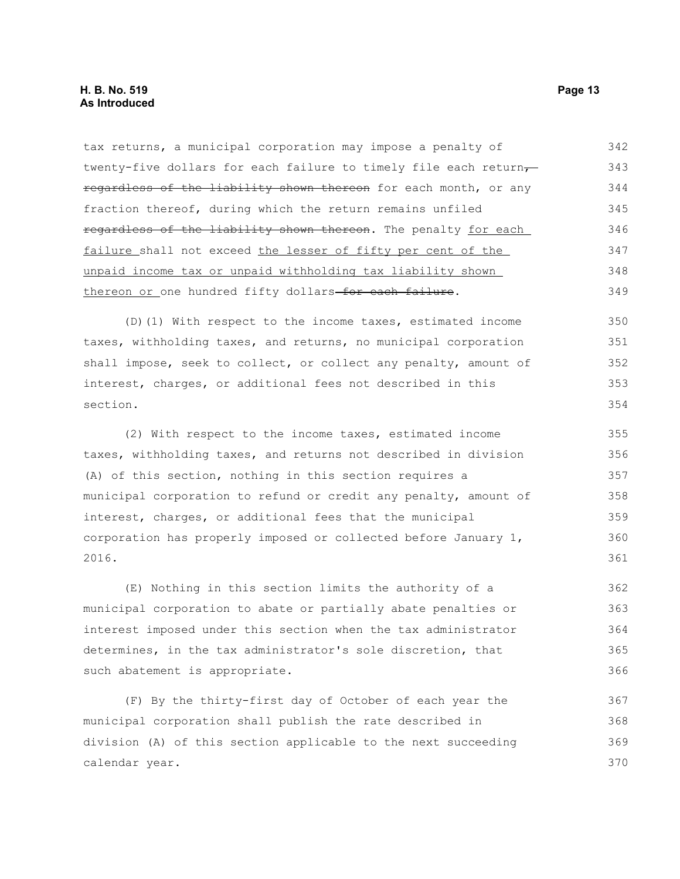tax returns, a municipal corporation may impose a penalty of twenty-five dollars for each failure to timely file each return, regardless of the liability shown thereon for each month, or any fraction thereof, during which the return remains unfiled regardless of the liability shown thereon. The penalty for each failure shall not exceed the lesser of fifty per cent of the unpaid income tax or unpaid withholding tax liability shown thereon or one hundred fifty dollars-for each failure. 342 343 344 345 346 347 348 349

(D)(1) With respect to the income taxes, estimated income taxes, withholding taxes, and returns, no municipal corporation shall impose, seek to collect, or collect any penalty, amount of interest, charges, or additional fees not described in this section. 350 351 352 353 354

(2) With respect to the income taxes, estimated income taxes, withholding taxes, and returns not described in division (A) of this section, nothing in this section requires a municipal corporation to refund or credit any penalty, amount of interest, charges, or additional fees that the municipal corporation has properly imposed or collected before January 1, 2016. 355 356 357 358 359 360 361

(E) Nothing in this section limits the authority of a municipal corporation to abate or partially abate penalties or interest imposed under this section when the tax administrator determines, in the tax administrator's sole discretion, that such abatement is appropriate. 362 363 364 365 366

(F) By the thirty-first day of October of each year the municipal corporation shall publish the rate described in division (A) of this section applicable to the next succeeding calendar year. 367 368 369 370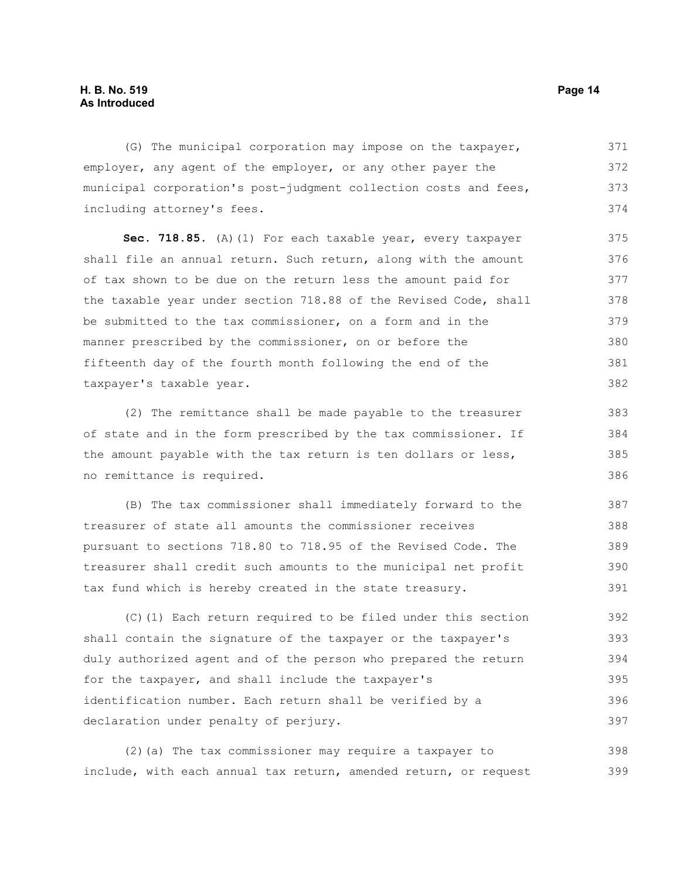#### **H. B. No. 519 Page 14 As Introduced**

(G) The municipal corporation may impose on the taxpayer, employer, any agent of the employer, or any other payer the municipal corporation's post-judgment collection costs and fees, including attorney's fees. 371 372 373 374

Sec. 718.85. (A)(1) For each taxable year, every taxpayer shall file an annual return. Such return, along with the amount of tax shown to be due on the return less the amount paid for the taxable year under section 718.88 of the Revised Code, shall be submitted to the tax commissioner, on a form and in the manner prescribed by the commissioner, on or before the fifteenth day of the fourth month following the end of the taxpayer's taxable year. 375 376 377 378 379 380 381 382

(2) The remittance shall be made payable to the treasurer of state and in the form prescribed by the tax commissioner. If the amount payable with the tax return is ten dollars or less, no remittance is required.

(B) The tax commissioner shall immediately forward to the treasurer of state all amounts the commissioner receives pursuant to sections 718.80 to 718.95 of the Revised Code. The treasurer shall credit such amounts to the municipal net profit tax fund which is hereby created in the state treasury. 387 388 389 390 391

(C)(1) Each return required to be filed under this section shall contain the signature of the taxpayer or the taxpayer's duly authorized agent and of the person who prepared the return for the taxpayer, and shall include the taxpayer's identification number. Each return shall be verified by a declaration under penalty of perjury. 392 393 394 395 396 397

(2)(a) The tax commissioner may require a taxpayer to include, with each annual tax return, amended return, or request 398 399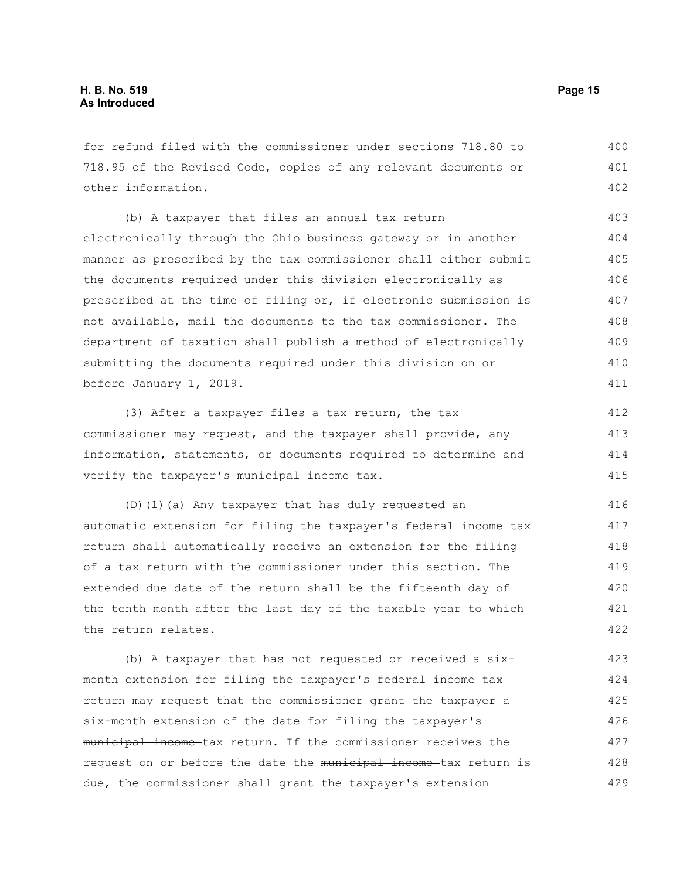for refund filed with the commissioner under sections 718.80 to 718.95 of the Revised Code, copies of any relevant documents or other information. 400 401 402

(b) A taxpayer that files an annual tax return electronically through the Ohio business gateway or in another manner as prescribed by the tax commissioner shall either submit the documents required under this division electronically as prescribed at the time of filing or, if electronic submission is not available, mail the documents to the tax commissioner. The department of taxation shall publish a method of electronically submitting the documents required under this division on or before January 1, 2019. 403 404 405 406 407 408 409 410 411

(3) After a taxpayer files a tax return, the tax commissioner may request, and the taxpayer shall provide, any information, statements, or documents required to determine and verify the taxpayer's municipal income tax. 412 413 414 415

(D)(1)(a) Any taxpayer that has duly requested an automatic extension for filing the taxpayer's federal income tax return shall automatically receive an extension for the filing of a tax return with the commissioner under this section. The extended due date of the return shall be the fifteenth day of the tenth month after the last day of the taxable year to which the return relates. 416 417 418 419 420 421 422

(b) A taxpayer that has not requested or received a sixmonth extension for filing the taxpayer's federal income tax return may request that the commissioner grant the taxpayer a six-month extension of the date for filing the taxpayer's municipal income tax return. If the commissioner receives the request on or before the date the municipal income tax return is due, the commissioner shall grant the taxpayer's extension 423 424 425 426 427 428 429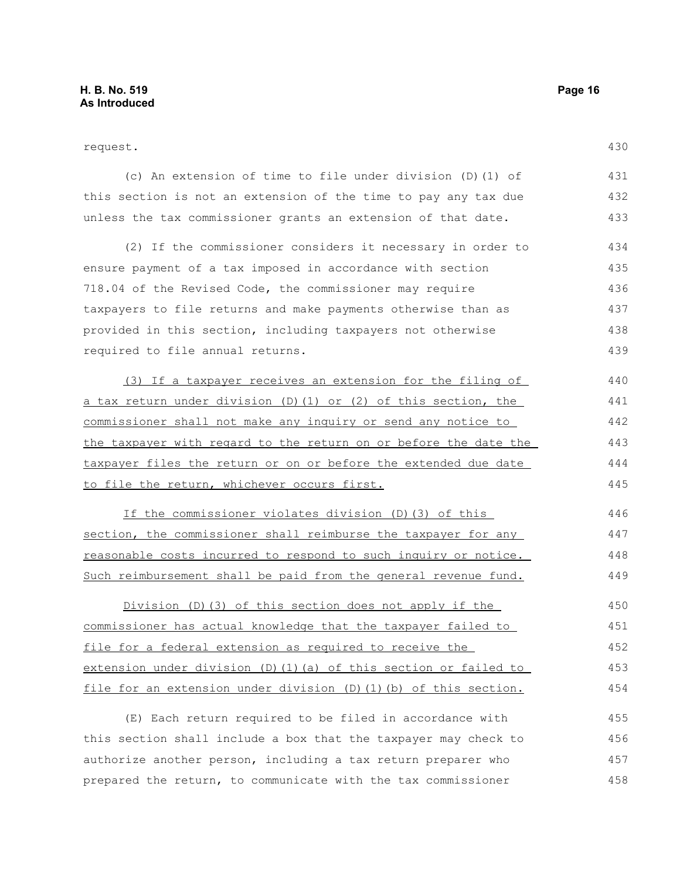request.

(c) An extension of time to file under division (D)(1) of this section is not an extension of the time to pay any tax due unless the tax commissioner grants an extension of that date. 431 432 433

(2) If the commissioner considers it necessary in order to ensure payment of a tax imposed in accordance with section 718.04 of the Revised Code, the commissioner may require taxpayers to file returns and make payments otherwise than as provided in this section, including taxpayers not otherwise required to file annual returns. 434 435 436 437 439

(3) If a taxpayer receives an extension for the filing of a tax return under division (D)(1) or (2) of this section, the commissioner shall not make any inquiry or send any notice to the taxpayer with regard to the return on or before the date the taxpayer files the return or on or before the extended due date to file the return, whichever occurs first. 440 441 442 443 444 445

If the commissioner violates division (D)(3) of this section, the commissioner shall reimburse the taxpayer for any reasonable costs incurred to respond to such inquiry or notice. Such reimbursement shall be paid from the general revenue fund. 446 447 448 449

Division (D)(3) of this section does not apply if the commissioner has actual knowledge that the taxpayer failed to file for a federal extension as required to receive the extension under division (D)(1)(a) of this section or failed to file for an extension under division (D)(1)(b) of this section. 450 451 452 453 454

(E) Each return required to be filed in accordance with this section shall include a box that the taxpayer may check to authorize another person, including a tax return preparer who prepared the return, to communicate with the tax commissioner 455 456 457 458

430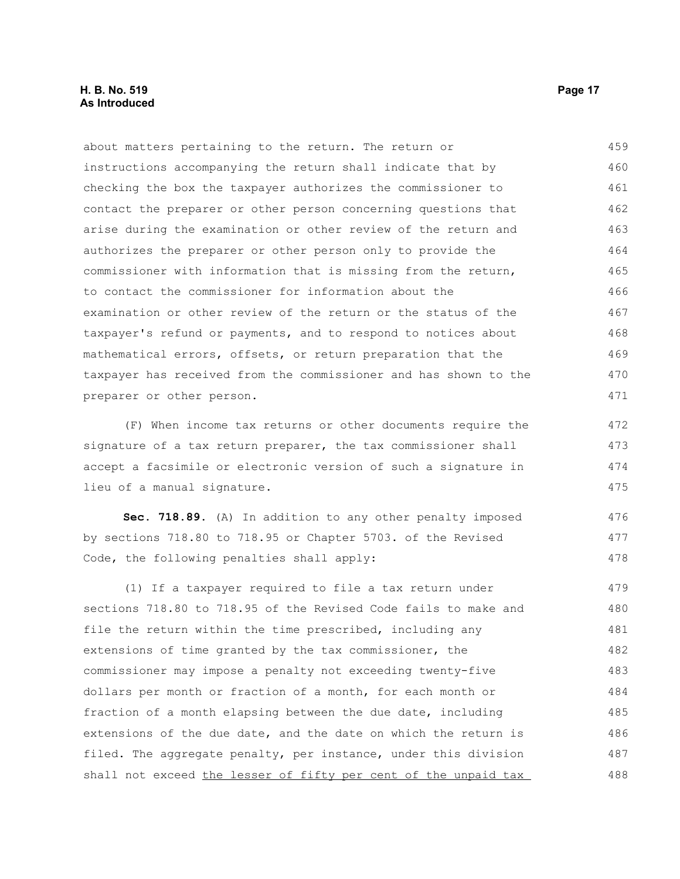about matters pertaining to the return. The return or instructions accompanying the return shall indicate that by checking the box the taxpayer authorizes the commissioner to contact the preparer or other person concerning questions that arise during the examination or other review of the return and authorizes the preparer or other person only to provide the commissioner with information that is missing from the return, to contact the commissioner for information about the examination or other review of the return or the status of the taxpayer's refund or payments, and to respond to notices about mathematical errors, offsets, or return preparation that the taxpayer has received from the commissioner and has shown to the preparer or other person. 459 460 461 462 463 464 465 466 467 468 469 470 471 472

(F) When income tax returns or other documents require the signature of a tax return preparer, the tax commissioner shall accept a facsimile or electronic version of such a signature in lieu of a manual signature.

**Sec. 718.89.** (A) In addition to any other penalty imposed by sections 718.80 to 718.95 or Chapter 5703. of the Revised Code, the following penalties shall apply: 476 477 478

(1) If a taxpayer required to file a tax return under sections 718.80 to 718.95 of the Revised Code fails to make and file the return within the time prescribed, including any extensions of time granted by the tax commissioner, the commissioner may impose a penalty not exceeding twenty-five dollars per month or fraction of a month, for each month or fraction of a month elapsing between the due date, including extensions of the due date, and the date on which the return is filed. The aggregate penalty, per instance, under this division shall not exceed the lesser of fifty per cent of the unpaid tax 479 480 481 482 483 484 485 486 487 488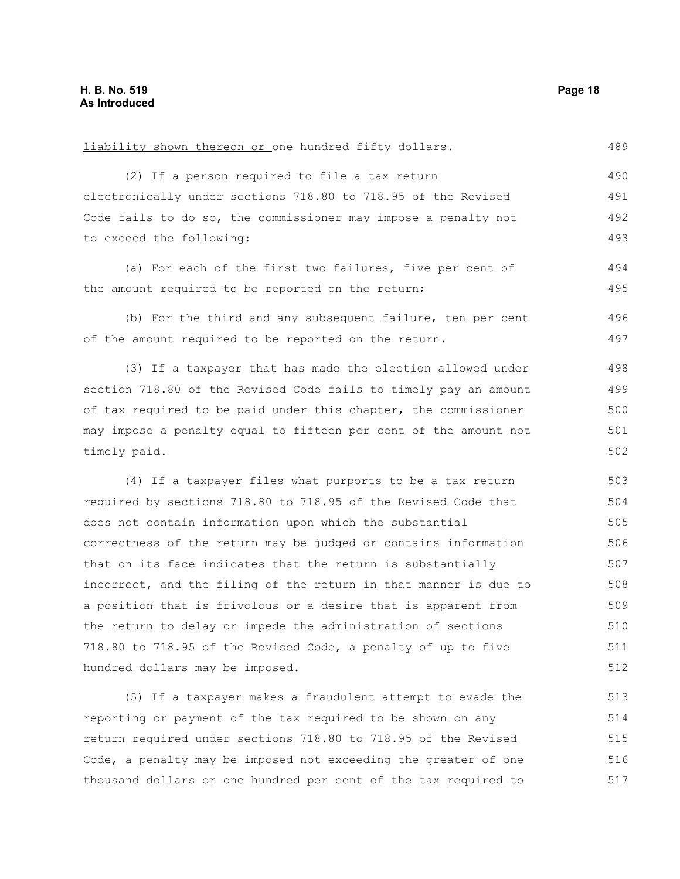liability shown thereon or one hundred fifty dollars. 489

(2) If a person required to file a tax return electronically under sections 718.80 to 718.95 of the Revised Code fails to do so, the commissioner may impose a penalty not to exceed the following: 490 491 492 493

(a) For each of the first two failures, five per cent of the amount required to be reported on the return; 494 495

(b) For the third and any subsequent failure, ten per cent of the amount required to be reported on the return. 496 497

(3) If a taxpayer that has made the election allowed under section 718.80 of the Revised Code fails to timely pay an amount of tax required to be paid under this chapter, the commissioner may impose a penalty equal to fifteen per cent of the amount not timely paid. 498 499 500 501 502

(4) If a taxpayer files what purports to be a tax return required by sections 718.80 to 718.95 of the Revised Code that does not contain information upon which the substantial correctness of the return may be judged or contains information that on its face indicates that the return is substantially incorrect, and the filing of the return in that manner is due to a position that is frivolous or a desire that is apparent from the return to delay or impede the administration of sections 718.80 to 718.95 of the Revised Code, a penalty of up to five hundred dollars may be imposed. 503 504 505 506 507 508 509 510 511 512

(5) If a taxpayer makes a fraudulent attempt to evade the reporting or payment of the tax required to be shown on any return required under sections 718.80 to 718.95 of the Revised Code, a penalty may be imposed not exceeding the greater of one thousand dollars or one hundred per cent of the tax required to 513 514 515 516 517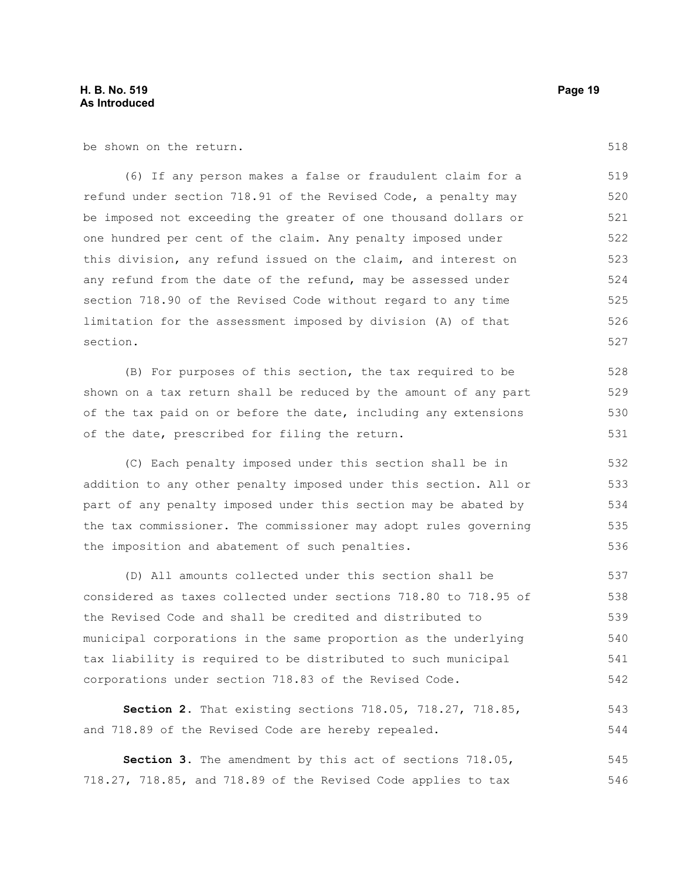be shown on the return.

(6) If any person makes a false or fraudulent claim for a refund under section 718.91 of the Revised Code, a penalty may be imposed not exceeding the greater of one thousand dollars or one hundred per cent of the claim. Any penalty imposed under this division, any refund issued on the claim, and interest on any refund from the date of the refund, may be assessed under section 718.90 of the Revised Code without regard to any time limitation for the assessment imposed by division (A) of that section. 519 520 521 522 523 524 525 526 527

(B) For purposes of this section, the tax required to be shown on a tax return shall be reduced by the amount of any part of the tax paid on or before the date, including any extensions of the date, prescribed for filing the return.

(C) Each penalty imposed under this section shall be in addition to any other penalty imposed under this section. All or part of any penalty imposed under this section may be abated by the tax commissioner. The commissioner may adopt rules governing the imposition and abatement of such penalties.

(D) All amounts collected under this section shall be considered as taxes collected under sections 718.80 to 718.95 of the Revised Code and shall be credited and distributed to municipal corporations in the same proportion as the underlying tax liability is required to be distributed to such municipal corporations under section 718.83 of the Revised Code. 537 538 539 540 541 542

**Section 2.** That existing sections 718.05, 718.27, 718.85, and 718.89 of the Revised Code are hereby repealed. 543 544

**Section 3.** The amendment by this act of sections 718.05, 718.27, 718.85, and 718.89 of the Revised Code applies to tax 545 546

518

529 530

531